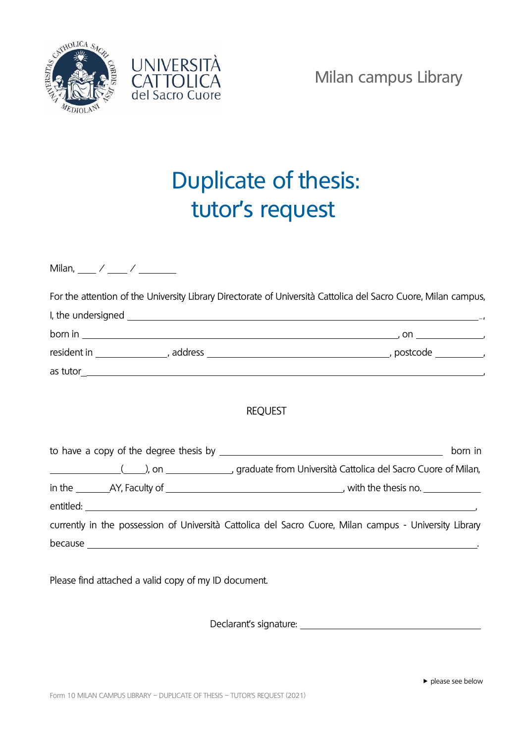



## Duplicate of thesis: tutor's request

| For the attention of the University Library Directorate of Università Cattolica del Sacro Cuore, Milan campus, |         |  |  |
|----------------------------------------------------------------------------------------------------------------|---------|--|--|
| I, the undersigned $\overline{\phantom{a}}$                                                                    |         |  |  |
|                                                                                                                |         |  |  |
|                                                                                                                |         |  |  |
|                                                                                                                |         |  |  |
| <b>REQUEST</b>                                                                                                 |         |  |  |
|                                                                                                                | born in |  |  |
| graduate from Università Cattolica del Sacro Cuore of Milan,                                                   |         |  |  |
|                                                                                                                |         |  |  |
|                                                                                                                |         |  |  |
| currently in the possession of Università Cattolica del Sacro Cuore, Milan campus - University Library         |         |  |  |
|                                                                                                                |         |  |  |

Please find attached a valid copy of my ID document.

Declarant's signature: \_\_\_\_\_\_\_\_\_\_\_